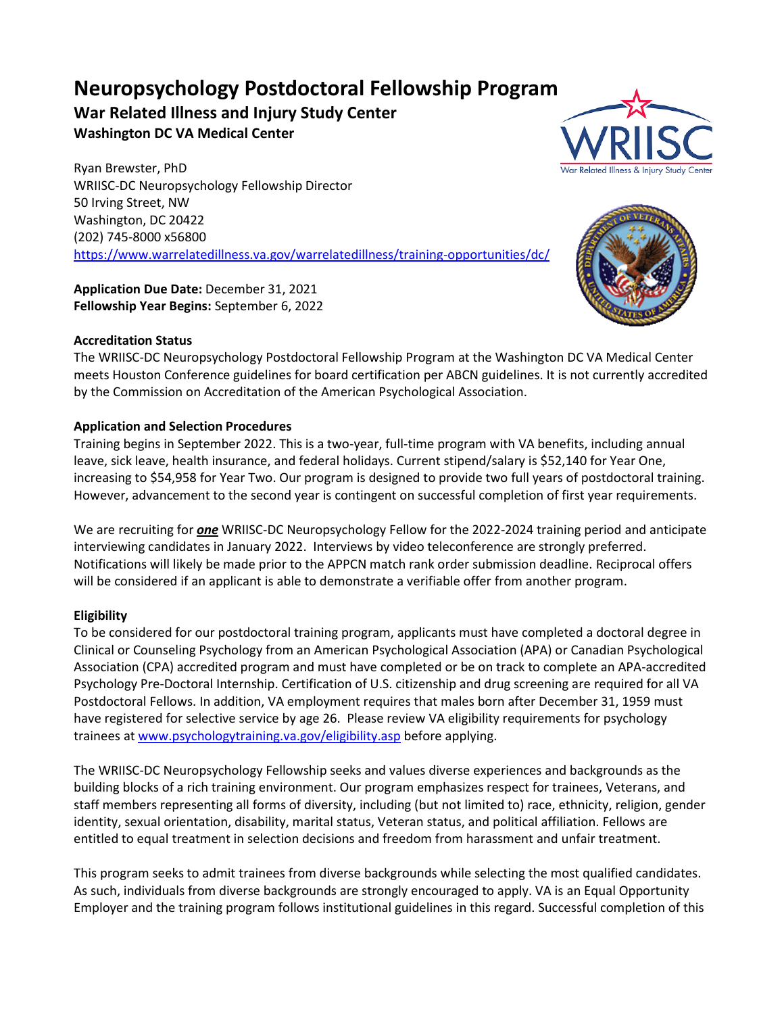# **Neuropsychology Postdoctoral Fellowship Program**

## **War Related Illness and Injury Study Center Washington DC VA Medical Center**

Ryan Brewster, PhD WRIISC-DC Neuropsychology Fellowship Director 50 Irving Street, NW Washington, DC 20422 (202) 745-8000 x56800 <https://www.warrelatedillness.va.gov/warrelatedillness/training-opportunities/dc/>

**Application Due Date:** December 31, 2021 **Fellowship Year Begins:** September 6, 2022

## **Accreditation Status**

The WRIISC-DC Neuropsychology Postdoctoral Fellowship Program at the Washington DC VA Medical Center meets Houston Conference guidelines for board certification per ABCN guidelines. It is not currently accredited by the Commission on Accreditation of the American Psychological Association.

## **Application and Selection Procedures**

Training begins in September 2022. This is a two-year, full-time program with VA benefits, including annual leave, sick leave, health insurance, and federal holidays. Current stipend/salary is \$52,140 for Year One, increasing to \$54,958 for Year Two. Our program is designed to provide two full years of postdoctoral training. However, advancement to the second year is contingent on successful completion of first year requirements.

We are recruiting for *one* WRIISC-DC Neuropsychology Fellow for the 2022-2024 training period and anticipate interviewing candidates in January 2022. Interviews by video teleconference are strongly preferred. Notifications will likely be made prior to the APPCN match rank order submission deadline. Reciprocal offers will be considered if an applicant is able to demonstrate a verifiable offer from another program.

## **Eligibility**

To be considered for our postdoctoral training program, applicants must have completed a doctoral degree in Clinical or Counseling Psychology from an American Psychological Association (APA) or Canadian Psychological Association (CPA) accredited program and must have completed or be on track to complete an APA-accredited Psychology Pre-Doctoral Internship. Certification of U.S. citizenship and drug screening are required for all VA Postdoctoral Fellows. In addition, VA employment requires that males born after December 31, 1959 must have registered for selective service by age 26. Please review VA eligibility requirements for psychology trainees at [www.psychologytraining.va.gov/eligibility.asp](http://www.psychologytraining.va.gov/eligibility.asp) before applying.

The WRIISC-DC Neuropsychology Fellowship seeks and values diverse experiences and backgrounds as the building blocks of a rich training environment. Our program emphasizes respect for trainees, Veterans, and staff members representing all forms of diversity, including (but not limited to) race, ethnicity, religion, gender identity, sexual orientation, disability, marital status, Veteran status, and political affiliation. Fellows are entitled to equal treatment in selection decisions and freedom from harassment and unfair treatment.

This program seeks to admit trainees from diverse backgrounds while selecting the most qualified candidates. As such, individuals from diverse backgrounds are strongly encouraged to apply. VA is an Equal Opportunity Employer and the training program follows institutional guidelines in this regard. Successful completion of this



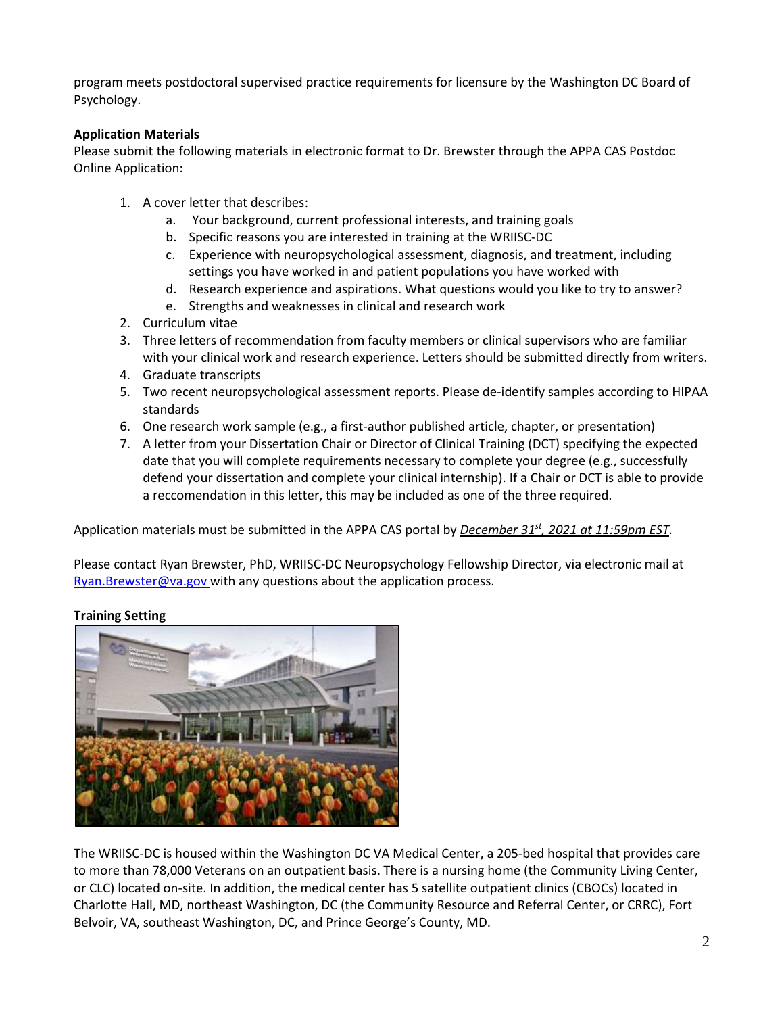program meets postdoctoral supervised practice requirements for licensure by the Washington DC Board of Psychology.

## **Application Materials**

Please submit the following materials in electronic format to Dr. Brewster through the APPA CAS Postdoc Online Application:

- 1. A cover letter that describes:
	- a. Your background, current professional interests, and training goals
	- b. Specific reasons you are interested in training at the WRIISC-DC
	- c. Experience with neuropsychological assessment, diagnosis, and treatment, including settings you have worked in and patient populations you have worked with
	- d. Research experience and aspirations. What questions would you like to try to answer?
	- e. Strengths and weaknesses in clinical and research work
- 2. Curriculum vitae
- 3. Three letters of recommendation from faculty members or clinical supervisors who are familiar with your clinical work and research experience. Letters should be submitted directly from writers.
- 4. Graduate transcripts
- 5. Two recent neuropsychological assessment reports. Please de-identify samples according to HIPAA standards
- 6. One research work sample (e.g., a first-author published article, chapter, or presentation)
- 7. A letter from your Dissertation Chair or Director of Clinical Training (DCT) specifying the expected date that you will complete requirements necessary to complete your degree (e.g., successfully defend your dissertation and complete your clinical internship). If a Chair or DCT is able to provide a reccomendation in this letter, this may be included as one of the three required.

Application materials must be submitted in the APPA CAS portal by *December 31st, 2021 at 11:59pm EST.*

Please contact Ryan Brewster, PhD, WRIISC-DC Neuropsychology Fellowship Director, via electronic mail at [Ryan.Brewster@va.gov](mailto:Ryan.Brewster@va.gov) with any questions about the application process.

## **Training Setting**



The WRIISC-DC is housed within the Washington DC VA Medical Center, a 205-bed hospital that provides care to more than 78,000 Veterans on an outpatient basis. There is a nursing home (the Community Living Center, or CLC) located on-site. In addition, the medical center has 5 satellite outpatient clinics (CBOCs) located in Charlotte Hall, MD, northeast Washington, DC (the Community Resource and Referral Center, or CRRC), Fort Belvoir, VA, southeast Washington, DC, and Prince George's County, MD.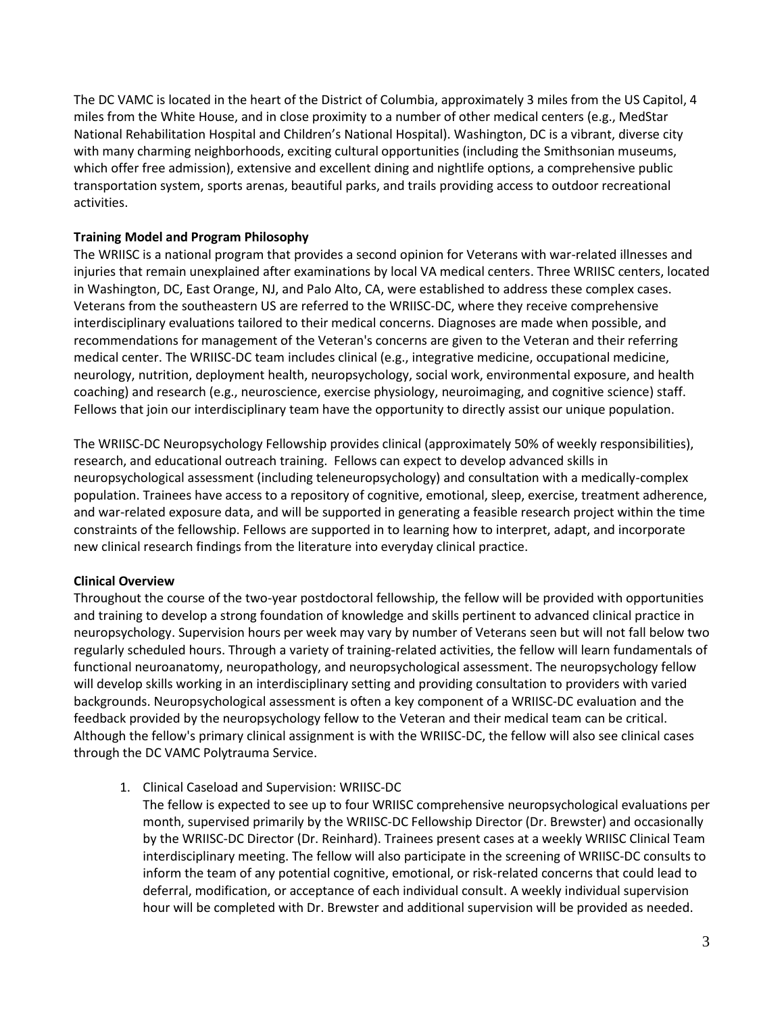The DC VAMC is located in the heart of the District of Columbia, approximately 3 miles from the US Capitol, 4 miles from the White House, and in close proximity to a number of other medical centers (e.g., MedStar National Rehabilitation Hospital and Children's National Hospital). Washington, DC is a vibrant, diverse city with many charming neighborhoods, exciting cultural opportunities (including the Smithsonian museums, which offer free admission), extensive and excellent dining and nightlife options, a comprehensive public transportation system, sports arenas, beautiful parks, and trails providing access to outdoor recreational activities.

## **Training Model and Program Philosophy**

The WRIISC is a national program that provides a second opinion for Veterans with war-related illnesses and injuries that remain unexplained after examinations by local VA medical centers. Three WRIISC centers, located in Washington, DC, East Orange, NJ, and Palo Alto, CA, were established to address these complex cases. Veterans from the southeastern US are referred to the WRIISC-DC, where they receive comprehensive interdisciplinary evaluations tailored to their medical concerns. Diagnoses are made when possible, and recommendations for management of the Veteran's concerns are given to the Veteran and their referring medical center. The WRIISC-DC team includes clinical (e.g., integrative medicine, occupational medicine, neurology, nutrition, deployment health, neuropsychology, social work, environmental exposure, and health coaching) and research (e.g., neuroscience, exercise physiology, neuroimaging, and cognitive science) staff. Fellows that join our interdisciplinary team have the opportunity to directly assist our unique population.

The WRIISC-DC Neuropsychology Fellowship provides clinical (approximately 50% of weekly responsibilities), research, and educational outreach training. Fellows can expect to develop advanced skills in neuropsychological assessment (including teleneuropsychology) and consultation with a medically-complex population. Trainees have access to a repository of cognitive, emotional, sleep, exercise, treatment adherence, and war-related exposure data, and will be supported in generating a feasible research project within the time constraints of the fellowship. Fellows are supported in to learning how to interpret, adapt, and incorporate new clinical research findings from the literature into everyday clinical practice.

## **Clinical Overview**

Throughout the course of the two-year postdoctoral fellowship, the fellow will be provided with opportunities and training to develop a strong foundation of knowledge and skills pertinent to advanced clinical practice in neuropsychology. Supervision hours per week may vary by number of Veterans seen but will not fall below two regularly scheduled hours. Through a variety of training-related activities, the fellow will learn fundamentals of functional neuroanatomy, neuropathology, and neuropsychological assessment. The neuropsychology fellow will develop skills working in an interdisciplinary setting and providing consultation to providers with varied backgrounds. Neuropsychological assessment is often a key component of a WRIISC-DC evaluation and the feedback provided by the neuropsychology fellow to the Veteran and their medical team can be critical. Although the fellow's primary clinical assignment is with the WRIISC-DC, the fellow will also see clinical cases through the DC VAMC Polytrauma Service.

1. Clinical Caseload and Supervision: WRIISC-DC

The fellow is expected to see up to four WRIISC comprehensive neuropsychological evaluations per month, supervised primarily by the WRIISC-DC Fellowship Director (Dr. Brewster) and occasionally by the WRIISC-DC Director (Dr. Reinhard). Trainees present cases at a weekly WRIISC Clinical Team interdisciplinary meeting. The fellow will also participate in the screening of WRIISC-DC consults to inform the team of any potential cognitive, emotional, or risk-related concerns that could lead to deferral, modification, or acceptance of each individual consult. A weekly individual supervision hour will be completed with Dr. Brewster and additional supervision will be provided as needed.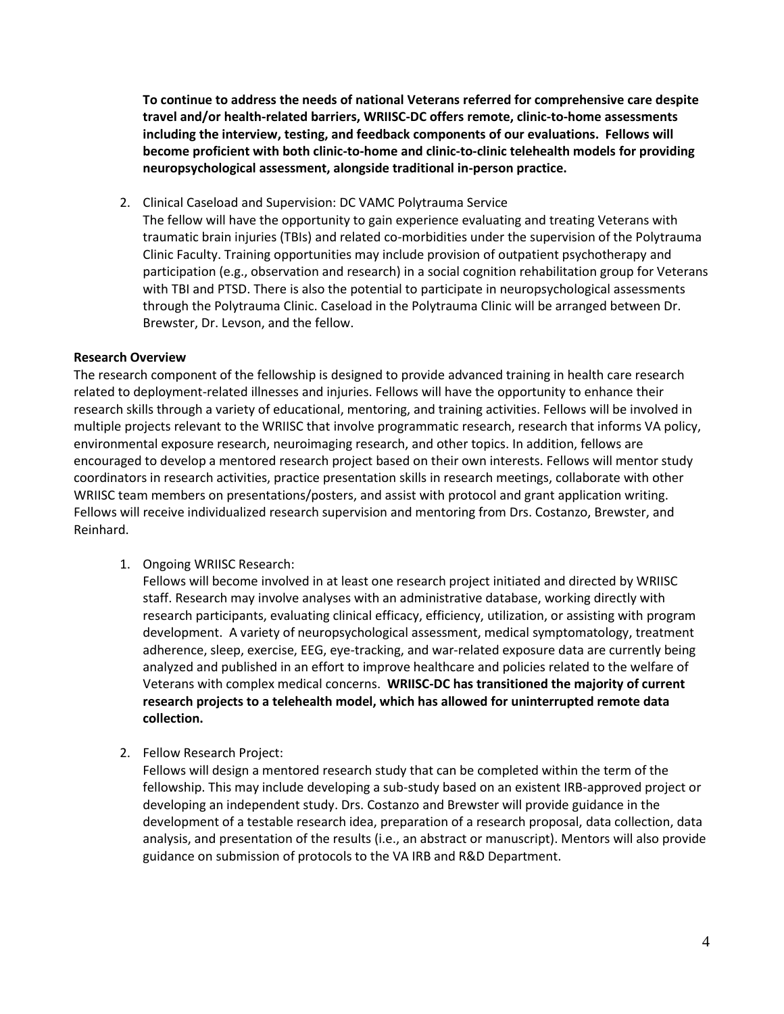**To continue to address the needs of national Veterans referred for comprehensive care despite travel and/or health-related barriers, WRIISC-DC offers remote, clinic-to-home assessments including the interview, testing, and feedback components of our evaluations. Fellows will become proficient with both clinic-to-home and clinic-to-clinic telehealth models for providing neuropsychological assessment, alongside traditional in-person practice.**

2. Clinical Caseload and Supervision: DC VAMC Polytrauma Service The fellow will have the opportunity to gain experience evaluating and treating Veterans with traumatic brain injuries (TBIs) and related co-morbidities under the supervision of the Polytrauma Clinic Faculty. Training opportunities may include provision of outpatient psychotherapy and participation (e.g., observation and research) in a social cognition rehabilitation group for Veterans with TBI and PTSD. There is also the potential to participate in neuropsychological assessments through the Polytrauma Clinic. Caseload in the Polytrauma Clinic will be arranged between Dr. Brewster, Dr. Levson, and the fellow.

## **Research Overview**

The research component of the fellowship is designed to provide advanced training in health care research related to deployment-related illnesses and injuries. Fellows will have the opportunity to enhance their research skills through a variety of educational, mentoring, and training activities. Fellows will be involved in multiple projects relevant to the WRIISC that involve programmatic research, research that informs VA policy, environmental exposure research, neuroimaging research, and other topics. In addition, fellows are encouraged to develop a mentored research project based on their own interests. Fellows will mentor study coordinators in research activities, practice presentation skills in research meetings, collaborate with other WRIISC team members on presentations/posters, and assist with protocol and grant application writing. Fellows will receive individualized research supervision and mentoring from Drs. Costanzo, Brewster, and Reinhard.

## 1. Ongoing WRIISC Research:

Fellows will become involved in at least one research project initiated and directed by WRIISC staff. Research may involve analyses with an administrative database, working directly with research participants, evaluating clinical efficacy, efficiency, utilization, or assisting with program development. A variety of neuropsychological assessment, medical symptomatology, treatment adherence, sleep, exercise, EEG, eye-tracking, and war-related exposure data are currently being analyzed and published in an effort to improve healthcare and policies related to the welfare of Veterans with complex medical concerns. **WRIISC-DC has transitioned the majority of current research projects to a telehealth model, which has allowed for uninterrupted remote data collection.**

2. Fellow Research Project:

Fellows will design a mentored research study that can be completed within the term of the fellowship. This may include developing a sub-study based on an existent IRB-approved project or developing an independent study. Drs. Costanzo and Brewster will provide guidance in the development of a testable research idea, preparation of a research proposal, data collection, data analysis, and presentation of the results (i.e., an abstract or manuscript). Mentors will also provide guidance on submission of protocols to the VA IRB and R&D Department.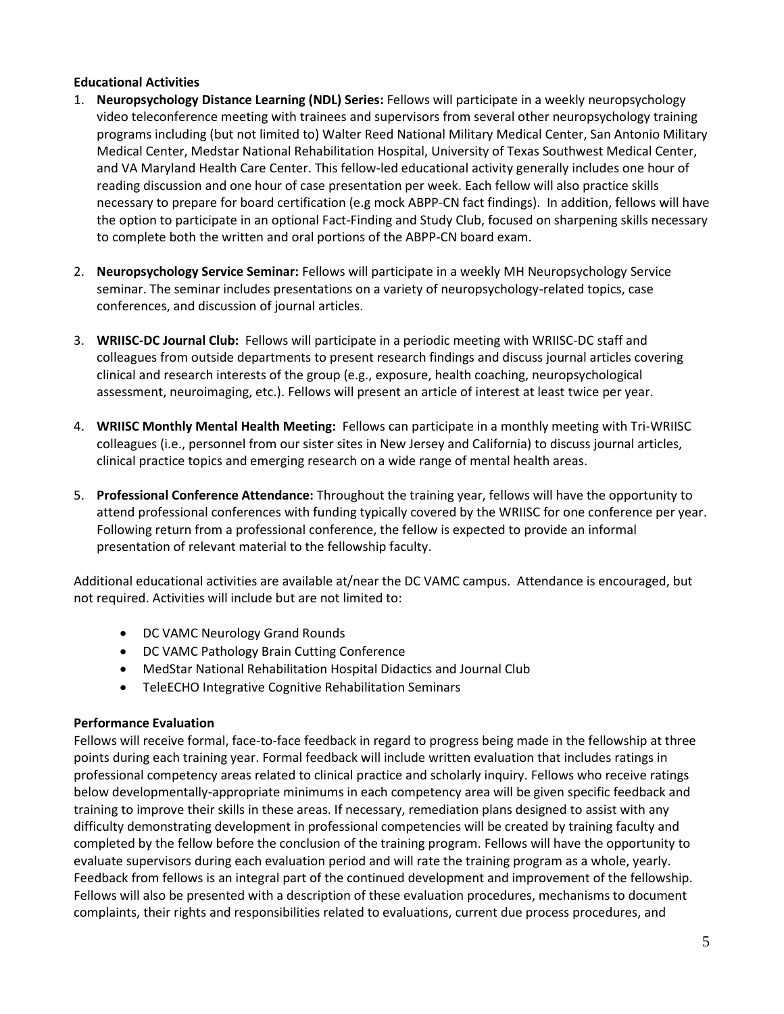## **Educational Activities**

- 1. **Neuropsychology Distance Learning (NDL) Series:** Fellows will participate in a weekly neuropsychology video teleconference meeting with trainees and supervisors from several other neuropsychology training programs including (but not limited to) Walter Reed National Military Medical Center, San Antonio Military Medical Center, Medstar National Rehabilitation Hospital, University of Texas Southwest Medical Center, and VA Maryland Health Care Center. This fellow-led educational activity generally includes one hour of reading discussion and one hour of case presentation per week. Each fellow will also practice skills necessary to prepare for board certification (e.g mock ABPP-CN fact findings). In addition, fellows will have the option to participate in an optional Fact-Finding and Study Club, focused on sharpening skills necessary to complete both the written and oral portions of the ABPP-CN board exam.
- 2. **Neuropsychology Service Seminar:** Fellows will participate in a weekly MH Neuropsychology Service seminar. The seminar includes presentations on a variety of neuropsychology-related topics, case conferences, and discussion of journal articles.
- 3. **WRIISC-DC Journal Club:** Fellows will participate in a periodic meeting with WRIISC-DC staff and colleagues from outside departments to present research findings and discuss journal articles covering clinical and research interests of the group (e.g., exposure, health coaching, neuropsychological assessment, neuroimaging, etc.). Fellows will present an article of interest at least twice per year.
- 4. **WRIISC Monthly Mental Health Meeting:** Fellows can participate in a monthly meeting with Tri-WRIISC colleagues (i.e., personnel from our sister sites in New Jersey and California) to discuss journal articles, clinical practice topics and emerging research on a wide range of mental health areas.
- 5. **Professional Conference Attendance:** Throughout the training year, fellows will have the opportunity to attend professional conferences with funding typically covered by the WRIISC for one conference per year. Following return from a professional conference, the fellow is expected to provide an informal presentation of relevant material to the fellowship faculty.

Additional educational activities are available at/near the DC VAMC campus. Attendance is encouraged, but not required. Activities will include but are not limited to:

- DC VAMC Neurology Grand Rounds
- DC VAMC Pathology Brain Cutting Conference
- MedStar National Rehabilitation Hospital Didactics and Journal Club
- TeleECHO Integrative Cognitive Rehabilitation Seminars

## **Performance Evaluation**

Fellows will receive formal, face-to-face feedback in regard to progress being made in the fellowship at three points during each training year. Formal feedback will include written evaluation that includes ratings in professional competency areas related to clinical practice and scholarly inquiry. Fellows who receive ratings below developmentally-appropriate minimums in each competency area will be given specific feedback and training to improve their skills in these areas. If necessary, remediation plans designed to assist with any difficulty demonstrating development in professional competencies will be created by training faculty and completed by the fellow before the conclusion of the training program. Fellows will have the opportunity to evaluate supervisors during each evaluation period and will rate the training program as a whole, yearly. Feedback from fellows is an integral part of the continued development and improvement of the fellowship. Fellows will also be presented with a description of these evaluation procedures, mechanisms to document complaints, their rights and responsibilities related to evaluations, current due process procedures, and